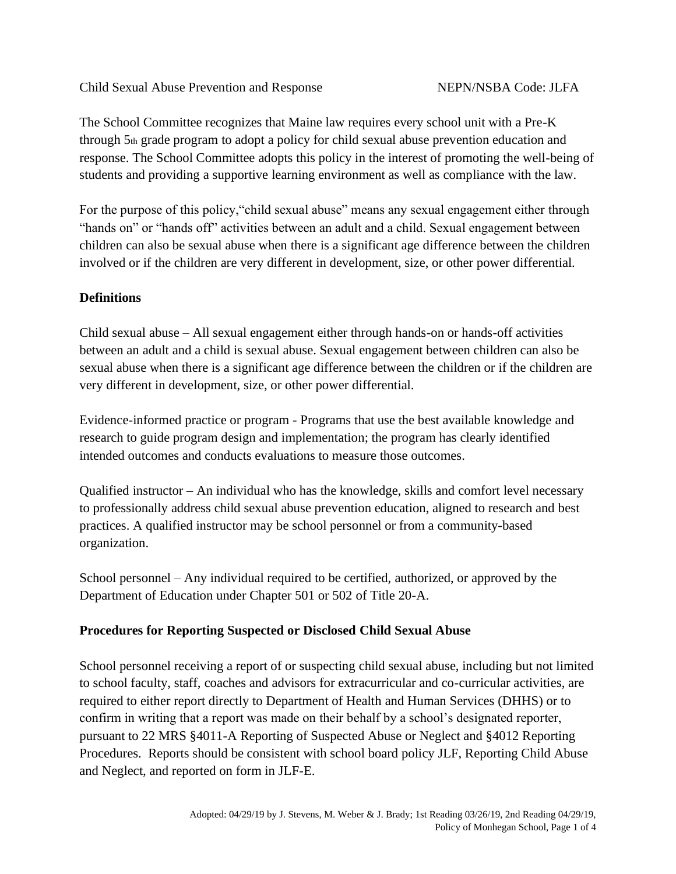The School Committee recognizes that Maine law requires every school unit with a Pre-K through 5th grade program to adopt a policy for child sexual abuse prevention education and response. The School Committee adopts this policy in the interest of promoting the well-being of students and providing a supportive learning environment as well as compliance with the law.

For the purpose of this policy,"child sexual abuse" means any sexual engagement either through "hands on" or "hands off" activities between an adult and a child. Sexual engagement between children can also be sexual abuse when there is a significant age difference between the children involved or if the children are very different in development, size, or other power differential.

# **Definitions**

Child sexual abuse – All sexual engagement either through hands-on or hands-off activities between an adult and a child is sexual abuse. Sexual engagement between children can also be sexual abuse when there is a significant age difference between the children or if the children are very different in development, size, or other power differential.

Evidence-informed practice or program - Programs that use the best available knowledge and research to guide program design and implementation; the program has clearly identified intended outcomes and conducts evaluations to measure those outcomes.

Qualified instructor – An individual who has the knowledge, skills and comfort level necessary to professionally address child sexual abuse prevention education, aligned to research and best practices. A qualified instructor may be school personnel or from a community-based organization.

School personnel – Any individual required to be certified, authorized, or approved by the Department of Education under Chapter 501 or 502 of Title 20-A.

### **Procedures for Reporting Suspected or Disclosed Child Sexual Abuse**

School personnel receiving a report of or suspecting child sexual abuse, including but not limited to school faculty, staff, coaches and advisors for extracurricular and co-curricular activities, are required to either report directly to Department of Health and Human Services (DHHS) or to confirm in writing that a report was made on their behalf by a school's designated reporter, pursuant to 22 MRS §4011-A Reporting of Suspected Abuse or Neglect and §4012 Reporting Procedures. Reports should be consistent with school board policy JLF, Reporting Child Abuse and Neglect, and reported on form in JLF-E.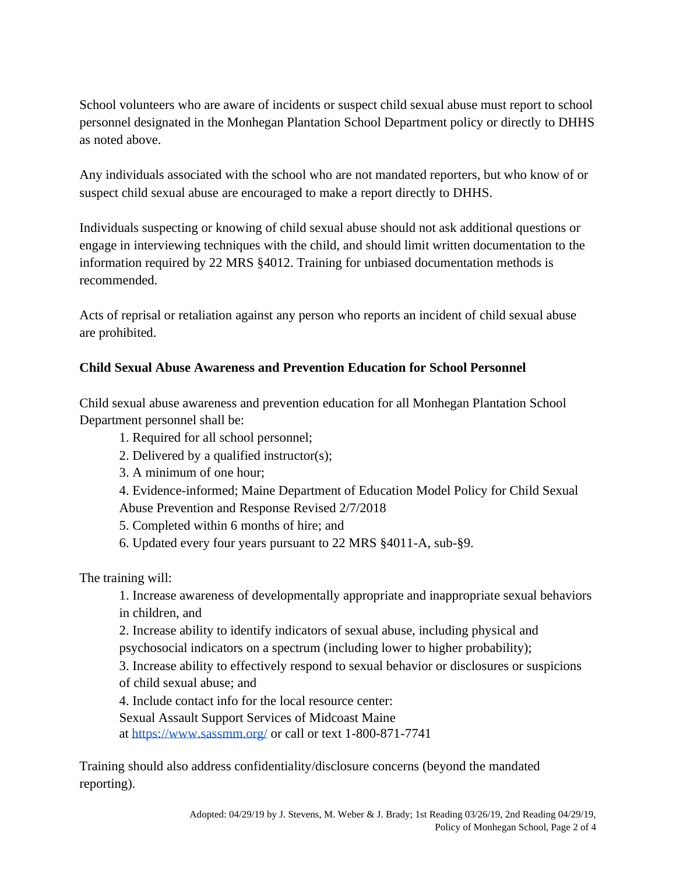School volunteers who are aware of incidents or suspect child sexual abuse must report to school personnel designated in the Monhegan Plantation School Department policy or directly to DHHS as noted above.

Any individuals associated with the school who are not mandated reporters, but who know of or suspect child sexual abuse are encouraged to make a report directly to DHHS.

Individuals suspecting or knowing of child sexual abuse should not ask additional questions or engage in interviewing techniques with the child, and should limit written documentation to the information required by 22 MRS §4012. Training for unbiased documentation methods is recommended.

Acts of reprisal or retaliation against any person who reports an incident of child sexual abuse are prohibited.

# **Child Sexual Abuse Awareness and Prevention Education for School Personnel**

Child sexual abuse awareness and prevention education for all Monhegan Plantation School Department personnel shall be:

- 1. Required for all school personnel;
- 2. Delivered by a qualified instructor(s);
- 3. A minimum of one hour;
- 4. Evidence-informed; Maine Department of Education Model Policy for Child Sexual
- Abuse Prevention and Response Revised 2/7/2018
- 5. Completed within 6 months of hire; and
- 6. Updated every four years pursuant to 22 MRS §4011-A, sub-§9.

The training will:

- 1. Increase awareness of developmentally appropriate and inappropriate sexual behaviors in children, and
- 2. Increase ability to identify indicators of sexual abuse, including physical and psychosocial indicators on a spectrum (including lower to higher probability);
- 3. Increase ability to effectively respond to sexual behavior or disclosures or suspicions of child sexual abuse; and
- 4. Include contact info for the local resource center:
- Sexual Assault Support Services of Midcoast Maine

at<https://www.sassmm.org/> or call or text 1-800-871-7741

Training should also address confidentiality/disclosure concerns (beyond the mandated reporting).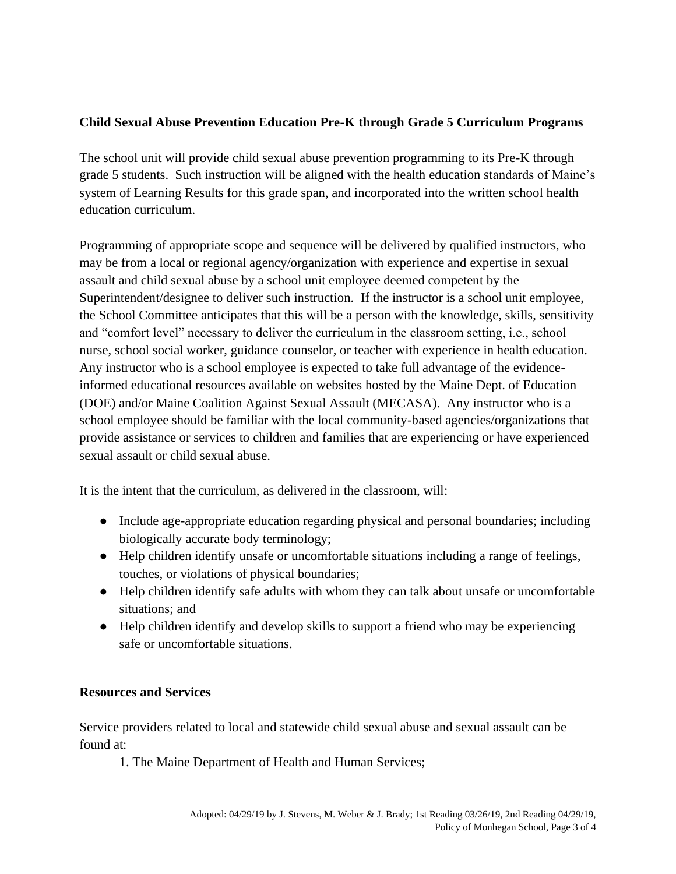## **Child Sexual Abuse Prevention Education Pre-K through Grade 5 Curriculum Programs**

The school unit will provide child sexual abuse prevention programming to its Pre-K through grade 5 students. Such instruction will be aligned with the health education standards of Maine's system of Learning Results for this grade span, and incorporated into the written school health education curriculum.

Programming of appropriate scope and sequence will be delivered by qualified instructors, who may be from a local or regional agency/organization with experience and expertise in sexual assault and child sexual abuse by a school unit employee deemed competent by the Superintendent/designee to deliver such instruction. If the instructor is a school unit employee, the School Committee anticipates that this will be a person with the knowledge, skills, sensitivity and "comfort level" necessary to deliver the curriculum in the classroom setting, i.e., school nurse, school social worker, guidance counselor, or teacher with experience in health education. Any instructor who is a school employee is expected to take full advantage of the evidenceinformed educational resources available on websites hosted by the Maine Dept. of Education (DOE) and/or Maine Coalition Against Sexual Assault (MECASA). Any instructor who is a school employee should be familiar with the local community-based agencies/organizations that provide assistance or services to children and families that are experiencing or have experienced sexual assault or child sexual abuse.

It is the intent that the curriculum, as delivered in the classroom, will:

- Include age-appropriate education regarding physical and personal boundaries; including biologically accurate body terminology;
- Help children identify unsafe or uncomfortable situations including a range of feelings, touches, or violations of physical boundaries;
- Help children identify safe adults with whom they can talk about unsafe or uncomfortable situations; and
- Help children identify and develop skills to support a friend who may be experiencing safe or uncomfortable situations.

### **Resources and Services**

Service providers related to local and statewide child sexual abuse and sexual assault can be found at:

1. The Maine Department of Health and Human Services;